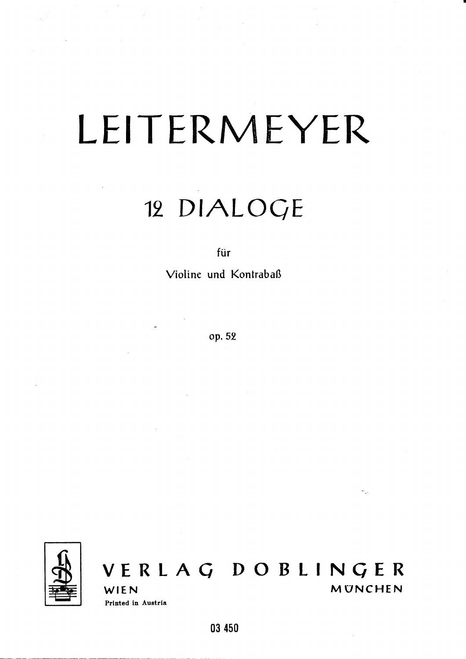## LEITERMEYER

## 12 DIALOGE

für

Violine und Kontrabaß

op. 52



## VERLAG DOBLINGER MUNCHEN WIEN Printed in Austria

 $\gamma_{\rm{th}}$ 

03 450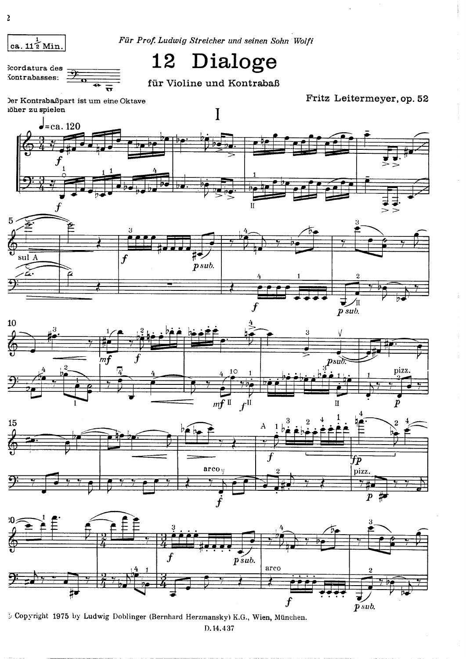

für Violine und Kontrabaß

Der Kontrabaßpart ist um eine Oktave iöher zu spielen

Fritz Leitermeyer, op. 52



Copyright 1975 by Ludwig Doblinger (Bernhard Herzmansky) K.G., Wien, München. D.14.437

ca.  $11\frac{1}{2}$  Min.

Scordatura des Kontrabasses: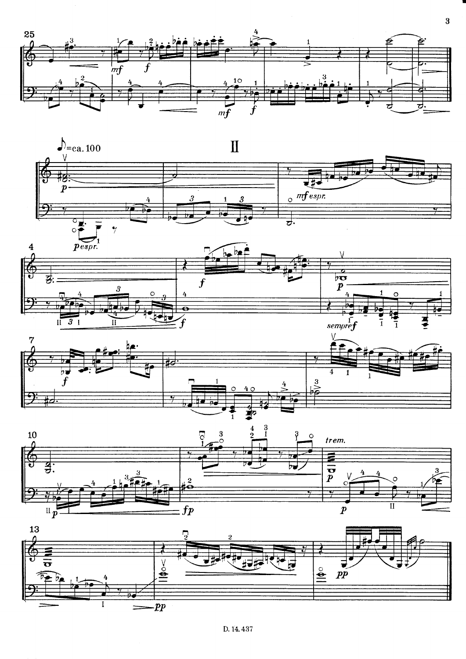



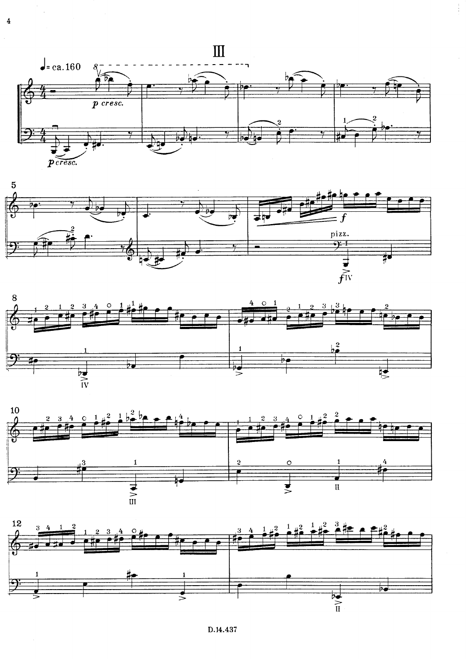

 $\overline{4}$ 







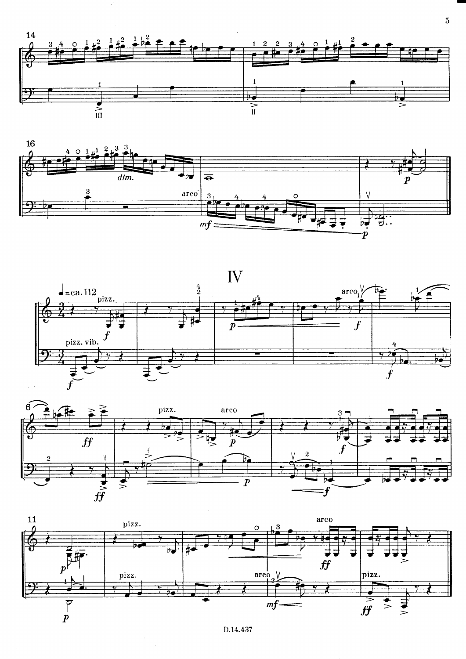

 $\overline{5}$ 







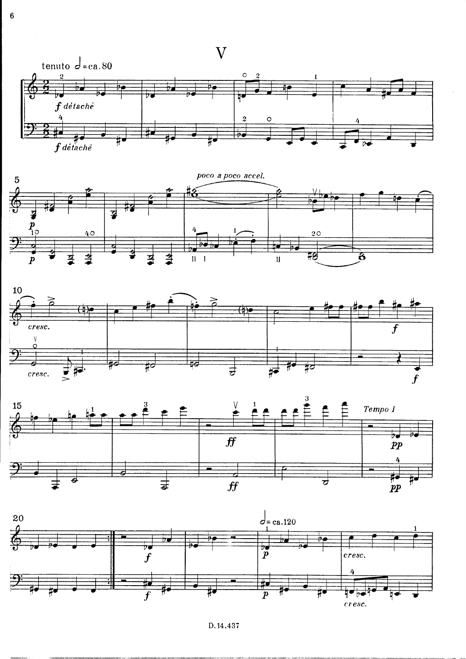









D.14.437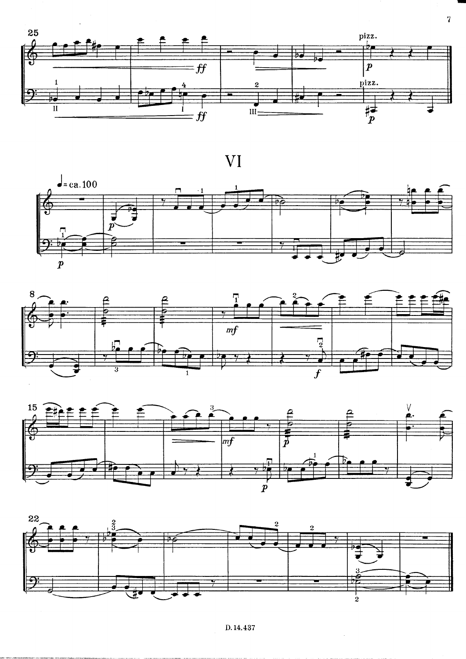

VI









D.14.437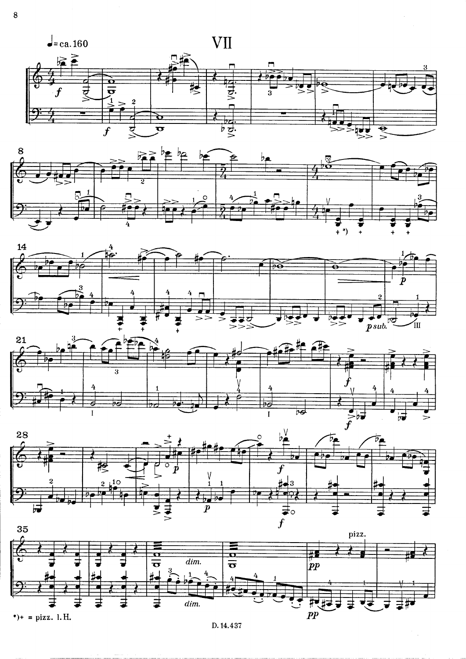









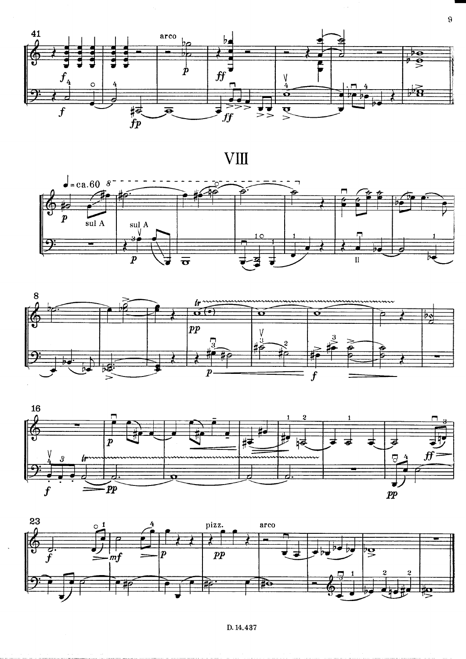

**VIII** 









D. 14.437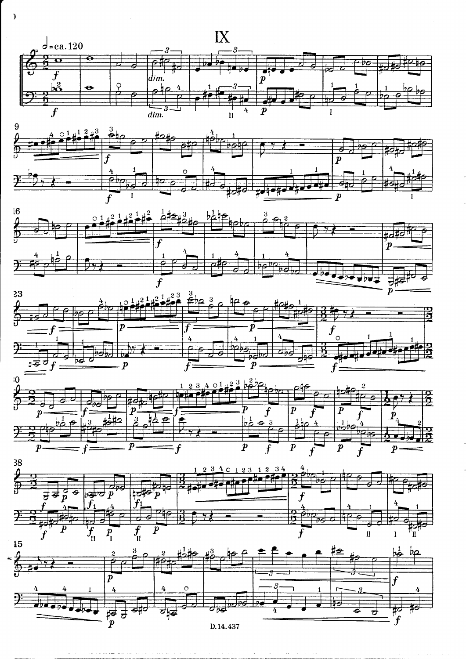













 $\overline{\phantom{a}}$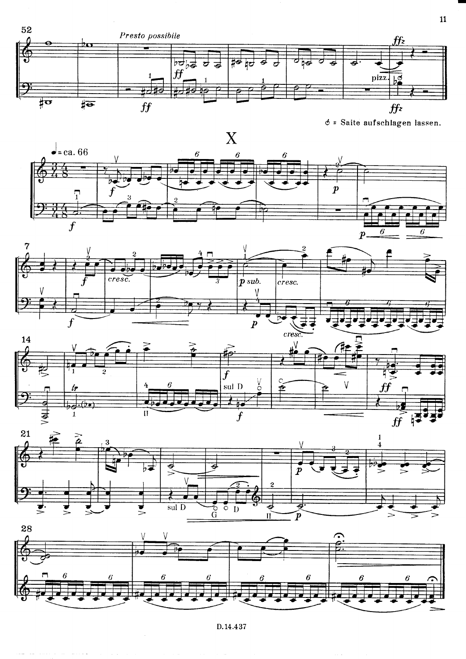

 $\phi$  = Saite aufschlagen lassen.











D.14.437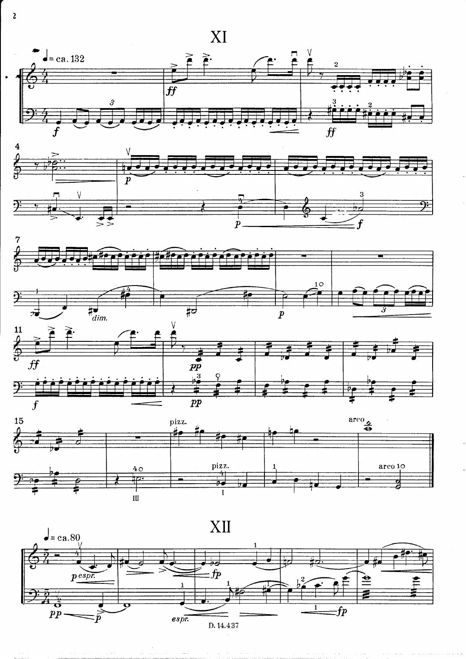











 $\overline{2}$